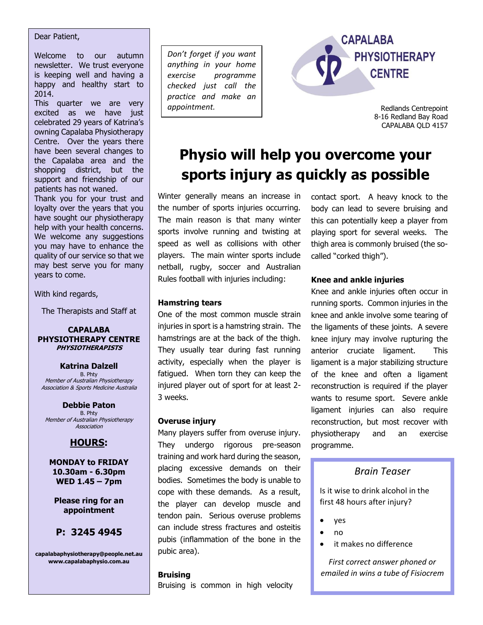#### Dear Patient,

Welcome to our autumn newsletter. We trust everyone is keeping well and having a happy and healthy start to 2014.

This quarter we are very excited as we have just celebrated 29 years of Katrina's owning Capalaba Physiotherapy Centre. Over the years there have been several changes to the Capalaba area and the shopping district, but the support and friendship of our patients has not waned.

Thank you for your trust and loyalty over the years that you have sought our physiotherapy help with your health concerns. We welcome any suggestions you may have to enhance the quality of our service so that we may best serve you for many years to come.

With kind regards,

The Therapists and Staff at

**CAPALABA PHYSIOTHERAPY CENTRE PHYSIOTHERAPISTS**

**Katrina Dalzell** B. Phty Member of Australian Physiotherapy Association & Sports Medicine Australia

**Debbie Paton** B. Phty Member of Australian Physiotherapy Association

## **HOURS:**

**MONDAY to FRIDAY 10.30am - 6.30pm WED 1.45 – 7pm** 

**Please ring for an appointment**

## **P: 3245 4945**

**capalabaphysiotherapy@people.net.au www.capalabaphysio.com.au**

*Don't forget if you want anything in your home exercise programme checked just call the practice and make an appointment.*



Redlands Centrepoint 8-16 Redland Bay Road CAPALABA QLD 4157

# **Physio will help you overcome your sports injury as quickly as possible**

Winter generally means an increase in the number of sports injuries occurring. The main reason is that many winter sports involve running and twisting at speed as well as collisions with other players. The main winter sports include netball, rugby, soccer and Australian Rules football with injuries including:

contact sport. A heavy knock to the body can lead to severe bruising and this can potentially keep a player from playing sport for several weeks. The thigh area is commonly bruised (the socalled "corked thigh").

#### **Knee and ankle injuries**

Knee and ankle injuries often occur in running sports. Common injuries in the knee and ankle involve some tearing of the ligaments of these joints. A severe knee injury may involve rupturing the anterior cruciate ligament. This ligament is a major stabilizing structure of the knee and often a ligament reconstruction is required if the player wants to resume sport. Severe ankle ligament injuries can also require reconstruction, but most recover with physiotherapy and an exercise programme.

## *Brain Teaser*

Is it wise to drink alcohol in the first 48 hours after injury?

- yes
- $n \cdot n$
- it makes no difference

*First correct answer phoned or emailed in wins a tube of Fisiocrem*

## **Hamstring tears**

One of the most common muscle strain injuries in sport is a hamstring strain. The hamstrings are at the back of the thigh. They usually tear during fast running activity, especially when the player is fatigued. When torn they can keep the injured player out of sport for at least 2- 3 weeks.

## **Overuse injury**

Many players suffer from overuse injury. They undergo rigorous pre-season training and work hard during the season, placing excessive demands on their bodies. Sometimes the body is unable to cope with these demands. As a result, the player can develop muscle and tendon pain. Serious overuse problems can include stress fractures and osteitis pubis (inflammation of the bone in the pubic area).

#### **Bruising**

Bruising is common in high velocity